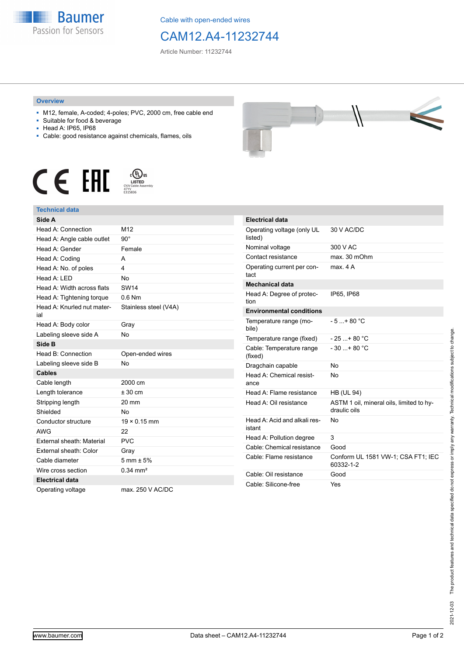

Cable with open-ended wires

## CAM12.A4-11232744

Article Number: 11232744

## **Overview**

- M12, female, A-coded; 4-poles; PVC, 2000 cm, free cable end
- Suitable for food & beverage
- Head A: IP65, IP68
- Cable: good resistance against chemicals, flames, oils





## **Technical data**

| Side A                            |                        |
|-----------------------------------|------------------------|
| Head A: Connection                | M <sub>12</sub>        |
| Head A: Angle cable outlet        | $90^\circ$             |
| Head A: Gender                    | Female                 |
| Head A: Coding                    | А                      |
| Head A: No. of poles              | 4                      |
| Head A: LED                       | <b>No</b>              |
| Head A: Width across flats        | <b>SW14</b>            |
| Head A: Tightening torque         | $0.6$ Nm               |
| Head A: Knurled nut mater-<br>ial | Stainless steel (V4A)  |
| Head A: Body color                | Gray                   |
| Labeling sleeve side A            | <b>No</b>              |
| Side B                            |                        |
| Head B: Connection                | Open-ended wires       |
| Labeling sleeve side B            | <b>No</b>              |
| <b>Cables</b>                     |                        |
| Cable length                      | 2000 cm                |
| Length tolerance                  | $± 30$ cm              |
| Stripping length                  | 20 mm                  |
| Shielded                          | <b>No</b>              |
| Conductor structure               | $19 \times 0.15$ mm    |
| <b>AWG</b>                        | 22                     |
| External sheath: Material         | <b>PVC</b>             |
| External sheath: Color            | Gray                   |
| Cable diameter                    | $5 \text{ mm} \pm 5\%$ |
| Wire cross section                | $0.34 \, \text{mm}^2$  |
| <b>Electrical data</b>            |                        |
| Operating voltage                 | max. 250 V AC/DC       |

| <b>Electrical data</b>                 |                                                          |
|----------------------------------------|----------------------------------------------------------|
| Operating voltage (only UL<br>listed)  | 30 V AC/DC                                               |
| Nominal voltage                        | 300 V AC                                                 |
| Contact resistance                     | max. 30 mOhm                                             |
| Operating current per con-<br>tact     | max 4 A                                                  |
| <b>Mechanical data</b>                 |                                                          |
| Head A: Degree of protec-<br>tion      | IP65. IP68                                               |
| <b>Environmental conditions</b>        |                                                          |
| Temperature range (mo-<br>bile)        | $-5$ $+80$ °C                                            |
| Temperature range (fixed)              | $-25+80 °C$                                              |
| Cable: Temperature range<br>(fixed)    | $-30$ + 80 °C                                            |
| Dragchain capable                      | No                                                       |
| Head A: Chemical resist-<br>ance       | No                                                       |
| Head A: Flame resistance               | <b>HB (UL 94)</b>                                        |
| Head A: Oil resistance                 | ASTM 1 oil, mineral oils, limited to hy-<br>draulic oils |
| Head A: Acid and alkali res-<br>istant | No                                                       |
| Head A: Pollution degree               | 3                                                        |
| Cable: Chemical resistance             | Good                                                     |
| Cable: Flame resistance                | Conform UL 1581 VW-1; CSA FT1; IEC<br>60332-1-2          |
| Cable: Oil resistance                  | Good                                                     |
| Cable: Silicone-free                   | Yes                                                      |